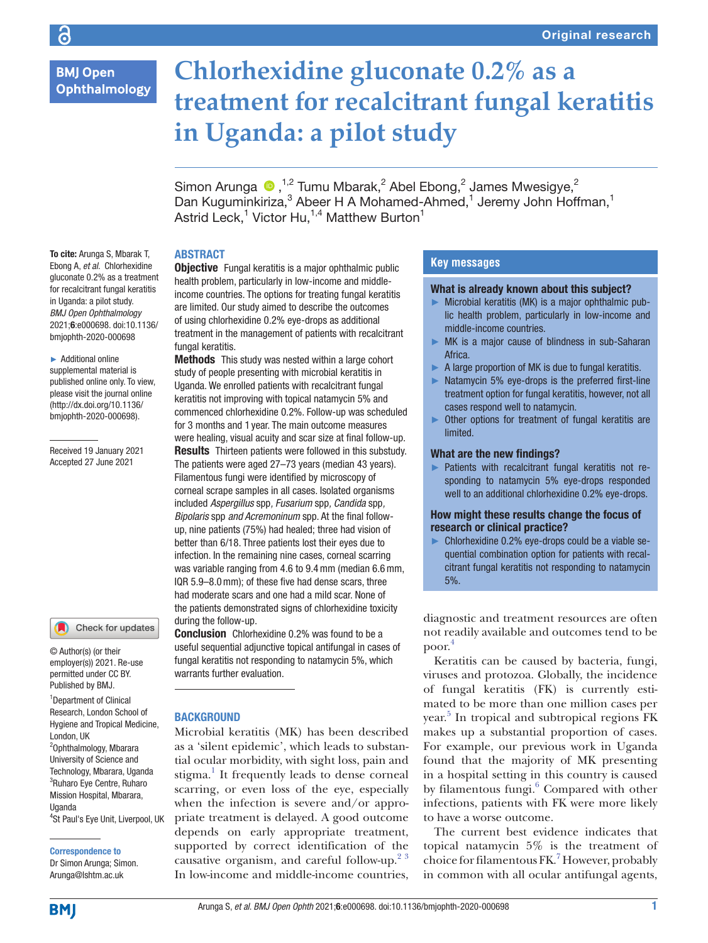# **BMJ Open** Ophthalmology

# **Chlorhexidine gluconate 0.2% as a treatment for recalcitrant fungal keratitis in Uganda: a pilot study**

Simon Arunga  $\bigcirc$ ,<sup>1,2</sup> Tumu Mbarak,<sup>2</sup> Abel Ebong,<sup>2</sup> James Mwesigye,<sup>2</sup> Dan Kuguminkiriza,<sup>3</sup> Abeer H A Mohamed-Ahmed,<sup>1</sup> Jeremy John Hoffman,<sup>1</sup> Astrid Leck, $^1$  Victor Hu, $^{1,4}$  Matthew Burton $^1$ 

#### To cite: Arunga S, Mbarak T, Ebong A, *et al*. Chlorhexidine gluconate 0.2% as a treatment for recalcitrant fungal keratitis in Uganda: a pilot study. *BMJ Open Ophthalmology* 2021;6:e000698. doi:10.1136/ bmjophth-2020-000698

#### ► Additional online supplemental material is published online only. To view, please visit the journal online (http://dx.doi.org/10.1136/ bmjophth-2020-000698).

Received 19 January 2021 Accepted 27 June 2021



© Author(s) (or their employer(s)) 2021. Re-use permitted under CC BY. Published by BMJ.

<sup>1</sup>Department of Clinical Research, London School of Hygiene and Tropical Medicine, London, UK <sup>2</sup>Ophthalmology, Mbarara University of Science and Technology, Mbarara, Uganda <sup>3</sup>Ruharo Eye Centre, Ruharo Mission Hospital, Mbarara, Uganda

# Correspondence to Arunga@lshtm.ac.uk

<sup>4</sup>St Paul's Eye Unit, Liverpool, UK

Dr Simon Arunga; Simon.

## ABSTRACT

**Objective** Fungal keratitis is a major ophthalmic public health problem, particularly in low-income and middleincome countries. The options for treating fungal keratitis are limited. Our study aimed to describe the outcomes of using chlorhexidine 0.2% eye-drops as additional treatment in the management of patients with recalcitrant fungal keratitis.

Methods This study was nested within a large cohort study of people presenting with microbial keratitis in Uganda. We enrolled patients with recalcitrant fungal keratitis not improving with topical natamycin 5% and commenced chlorhexidine 0.2%. Follow-up was scheduled for 3 months and 1 year. The main outcome measures were healing, visual acuity and scar size at final follow-up. **Results** Thirteen patients were followed in this substudy. The patients were aged 27–73 years (median 43 years). Filamentous fungi were identified by microscopy of corneal scrape samples in all cases. Isolated organisms included *Aspergillus* spp*, Fusarium* spp*, Candida* spp*, Bipolaris* spp *and Acremoninum* spp. At the final followup, nine patients (75%) had healed; three had vision of better than 6/18. Three patients lost their eyes due to infection. In the remaining nine cases, corneal scarring was variable ranging from 4.6 to 9.4mm (median 6.6mm, IQR 5.9–8.0mm); of these five had dense scars, three had moderate scars and one had a mild scar. None of the patients demonstrated signs of chlorhexidine toxicity during the follow-up.

**Conclusion** Chlorhexidine 0.2% was found to be a useful sequential adjunctive topical antifungal in cases of fungal keratitis not responding to natamycin 5%, which warrants further evaluation.

## **BACKGROUND**

Microbial keratitis (MK) has been described as a 'silent epidemic', which leads to substantial ocular morbidity, with sight loss, pain and stigma.<sup>1</sup> It frequently leads to dense corneal scarring, or even loss of the eye, especially when the infection is severe and/or appropriate treatment is delayed. A good outcome depends on early appropriate treatment, supported by correct identification of the causative organism, and careful follow-up.<sup>[2 3](#page-5-0)</sup> In low-income and middle-income countries,

# **Key messages**

#### What is already known about this subject?

- ► Microbial keratitis (MK) is a major ophthalmic public health problem, particularly in low-income and middle-income countries.
- ► MK is a major cause of blindness in sub-Saharan Africa.
- ► A large proportion of MK is due to fungal keratitis.
- ► Natamycin 5% eye-drops is the preferred first-line treatment option for fungal keratitis, however, not all cases respond well to natamycin.
- ► Other options for treatment of fungal keratitis are limited.

#### What are the new findings?

► Patients with recalcitrant fungal keratitis not responding to natamycin 5% eye-drops responded well to an additional chlorhexidine 0.2% eye-drops.

How might these results change the focus of research or clinical practice?

► Chlorhexidine 0.2% eye-drops could be a viable sequential combination option for patients with recalcitrant fungal keratitis not responding to natamycin 5%.

diagnostic and treatment resources are often not readily available and outcomes tend to be poor.[4](#page-5-1)

Keratitis can be caused by bacteria, fungi, viruses and protozoa. Globally, the incidence of fungal keratitis (FK) is currently estimated to be more than one million cases per year. [5](#page-5-2) In tropical and subtropical regions FK makes up a substantial proportion of cases. For example, our previous work in Uganda found that the majority of MK presenting in a hospital setting in this country is caused by filamentous fungi.<sup>6</sup> Compared with other infections, patients with FK were more likely to have a worse outcome.

The current best evidence indicates that topical natamycin 5% is the treatment of choice for filamentous FK.<sup>[7](#page-5-4)</sup> However, probably in common with all ocular antifungal agents,

**BMJ**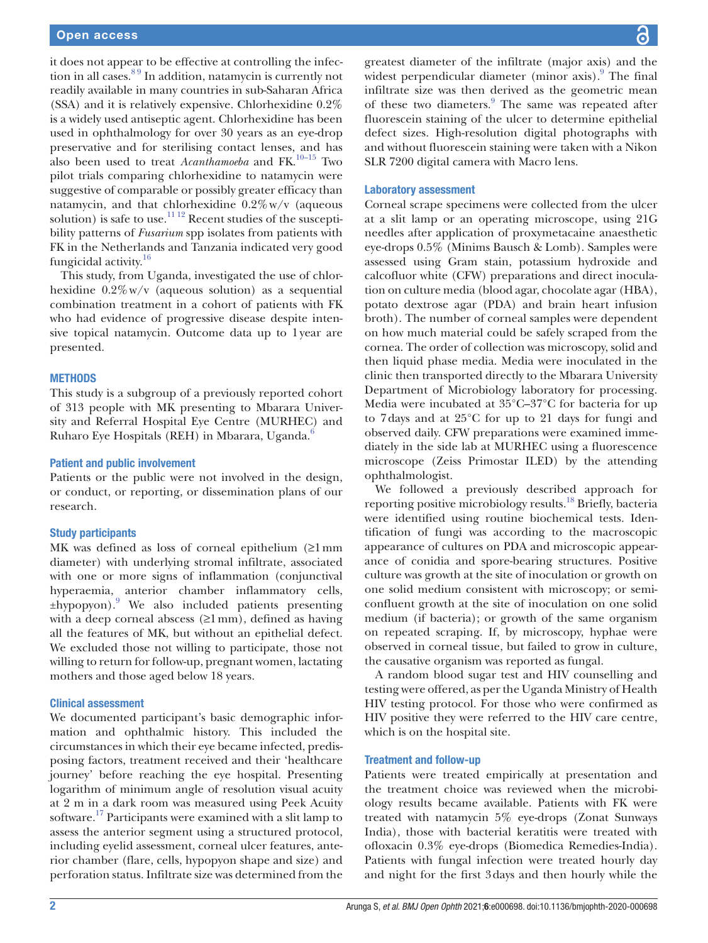it does not appear to be effective at controlling the infection in all cases.[8 9](#page-5-5) In addition, natamycin is currently not readily available in many countries in sub-Saharan Africa (SSA) and it is relatively expensive. Chlorhexidine 0.2% is a widely used antiseptic agent. Chlorhexidine has been used in ophthalmology for over 30 years as an eye-drop preservative and for sterilising contact lenses, and has also been used to treat *Acanthamoeba* and FK.<sup>[10–15](#page-5-6)</sup> Two pilot trials comparing chlorhexidine to natamycin were suggestive of comparable or possibly greater efficacy than natamycin, and that chlorhexidine  $0.2\%$  w/v (aqueous solution) is safe to use.<sup>11 12</sup> Recent studies of the susceptibility patterns of *Fusarium* spp isolates from patients with FK in the Netherlands and Tanzania indicated very good fungicidal activity.<sup>16</sup>

This study, from Uganda, investigated the use of chlorhexidine  $0.2\%$  w/v (aqueous solution) as a sequential combination treatment in a cohort of patients with FK who had evidence of progressive disease despite intensive topical natamycin. Outcome data up to 1year are presented.

#### **METHODS**

This study is a subgroup of a previously reported cohort of 313 people with MK presenting to Mbarara University and Referral Hospital Eye Centre (MURHEC) and Ruharo Eye Hospitals (REH) in Mbarara, Uganda.<sup>6</sup>

#### Patient and public involvement

Patients or the public were not involved in the design, or conduct, or reporting, or dissemination plans of our research.

#### Study participants

MK was defined as loss of corneal epithelium (≥1mm diameter) with underlying stromal infiltrate, associated with one or more signs of inflammation (conjunctival hyperaemia, anterior chamber inflammatory cells, ±hypopyon)[.9](#page-5-8) We also included patients presenting with a deep corneal abscess  $(\geq 1 \text{ mm})$ , defined as having all the features of MK, but without an epithelial defect. We excluded those not willing to participate, those not willing to return for follow-up, pregnant women, lactating mothers and those aged below 18 years.

#### Clinical assessment

We documented participant's basic demographic information and ophthalmic history. This included the circumstances in which their eye became infected, predisposing factors, treatment received and their 'healthcare journey' before reaching the eye hospital. Presenting logarithm of minimum angle of resolution visual acuity at 2 m in a dark room was measured using Peek Acuity software.<sup>[17](#page-6-1)</sup> Participants were examined with a slit lamp to assess the anterior segment using a structured protocol, including eyelid assessment, corneal ulcer features, anterior chamber (flare, cells, hypopyon shape and size) and perforation status. Infiltrate size was determined from the

greatest diameter of the infiltrate (major axis) and the widest perpendicular diameter (minor axis).<sup>9</sup> The final infiltrate size was then derived as the geometric mean of these two diameters.<sup>[9](#page-5-8)</sup> The same was repeated after fluorescein staining of the ulcer to determine epithelial defect sizes. High-resolution digital photographs with and without fluorescein staining were taken with a Nikon SLR 7200 digital camera with Macro lens.

#### Laboratory assessment

Corneal scrape specimens were collected from the ulcer at a slit lamp or an operating microscope, using 21G needles after application of proxymetacaine anaesthetic eye-drops 0.5% (Minims Bausch & Lomb). Samples were assessed using Gram stain, potassium hydroxide and calcofluor white (CFW) preparations and direct inoculation on culture media (blood agar, chocolate agar (HBA), potato dextrose agar (PDA) and brain heart infusion broth). The number of corneal samples were dependent on how much material could be safely scraped from the cornea. The order of collection was microscopy, solid and then liquid phase media. Media were inoculated in the clinic then transported directly to the Mbarara University Department of Microbiology laboratory for processing. Media were incubated at 35°C–37°C for bacteria for up to 7days and at 25°C for up to 21 days for fungi and observed daily. CFW preparations were examined immediately in the side lab at MURHEC using a fluorescence microscope (Zeiss Primostar ILED) by the attending ophthalmologist.

We followed a previously described approach for reporting positive microbiology results.[18](#page-6-2) Briefly, bacteria were identified using routine biochemical tests. Identification of fungi was according to the macroscopic appearance of cultures on PDA and microscopic appearance of conidia and spore-bearing structures. Positive culture was growth at the site of inoculation or growth on one solid medium consistent with microscopy; or semiconfluent growth at the site of inoculation on one solid medium (if bacteria); or growth of the same organism on repeated scraping. If, by microscopy, hyphae were observed in corneal tissue, but failed to grow in culture, the causative organism was reported as fungal.

A random blood sugar test and HIV counselling and testing were offered, as per the Uganda Ministry of Health HIV testing protocol. For those who were confirmed as HIV positive they were referred to the HIV care centre, which is on the hospital site.

#### Treatment and follow-up

Patients were treated empirically at presentation and the treatment choice was reviewed when the microbiology results became available. Patients with FK were treated with natamycin 5% eye-drops (Zonat Sunways India), those with bacterial keratitis were treated with ofloxacin 0.3% eye-drops (Biomedica Remedies-India). Patients with fungal infection were treated hourly day and night for the first 3days and then hourly while the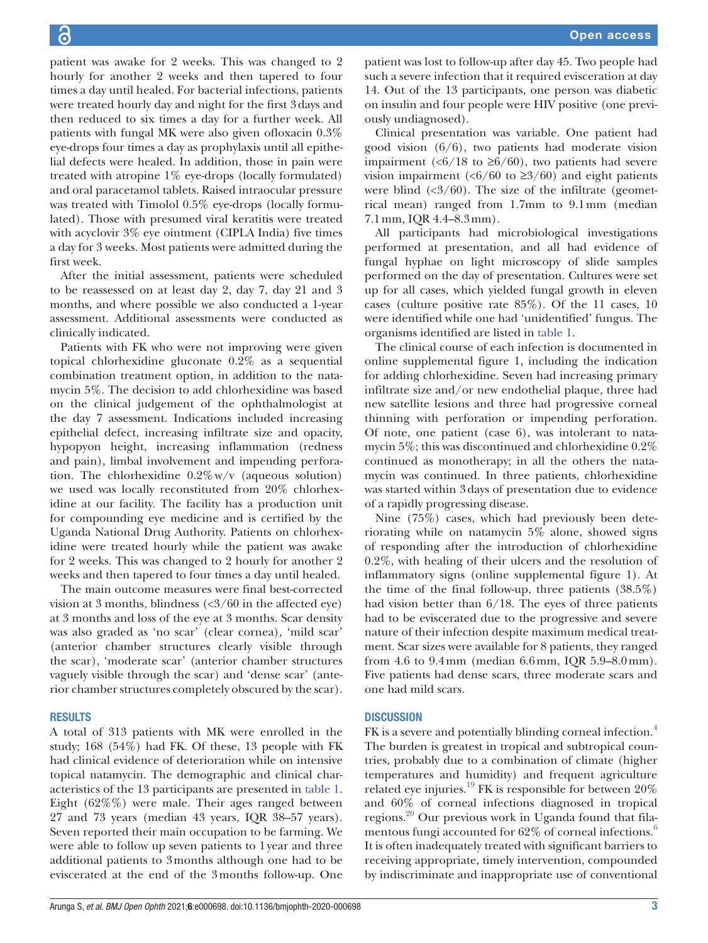patient was awake for 2 weeks. This was changed to 2 hourly for another 2 weeks and then tapered to four times a day until healed. For bacterial infections, patients were treated hourly day and night for the first 3days and then reduced to six times a day for a further week. All patients with fungal MK were also given ofloxacin 0.3% eye-drops four times a day as prophylaxis until all epithelial defects were healed. In addition, those in pain were treated with atropine 1% eye-drops (locally formulated) and oral paracetamol tablets. Raised intraocular pressure was treated with Timolol 0.5% eye-drops (locally formulated). Those with presumed viral keratitis were treated with acyclovir 3% eye ointment (CIPLA India) five times a day for 3 weeks. Most patients were admitted during the first week.

After the initial assessment, patients were scheduled to be reassessed on at least day 2, day 7, day 21 and 3 months, and where possible we also conducted a 1-year assessment. Additional assessments were conducted as clinically indicated.

Patients with FK who were not improving were given topical chlorhexidine gluconate 0.2% as a sequential combination treatment option, in addition to the natamycin 5%. The decision to add chlorhexidine was based on the clinical judgement of the ophthalmologist at the day 7 assessment. Indications included increasing epithelial defect, increasing infiltrate size and opacity, hypopyon height, increasing inflammation (redness and pain), limbal involvement and impending perforation. The chlorhexidine  $0.2\%$  w/v (aqueous solution) we used was locally reconstituted from 20% chlorhexidine at our facility. The facility has a production unit for compounding eye medicine and is certified by the Uganda National Drug Authority. Patients on chlorhexidine were treated hourly while the patient was awake for 2 weeks. This was changed to 2 hourly for another 2 weeks and then tapered to four times a day until healed.

The main outcome measures were final best-corrected vision at 3 months, blindness  $\langle \langle 3/60 \rangle$  in the affected eye) at 3 months and loss of the eye at 3 months. Scar density was also graded as 'no scar' (clear cornea), 'mild scar' (anterior chamber structures clearly visible through the scar), 'moderate scar' (anterior chamber structures vaguely visible through the scar) and 'dense scar' (anterior chamber structures completely obscured by the scar).

#### **RESULTS**

A total of 313 patients with MK were enrolled in the study; 168 (54%) had FK. Of these, 13 people with FK had clinical evidence of deterioration while on intensive topical natamycin. The demographic and clinical characteristics of the 13 participants are presented in [table](#page-3-0) 1. Eight (62%%) were male. Their ages ranged between 27 and 73 years (median 43 years, IQR 38–57 years). Seven reported their main occupation to be farming. We were able to follow up seven patients to 1year and three additional patients to 3months although one had to be eviscerated at the end of the 3months follow-up. One

patient was lost to follow-up after day 45. Two people had such a severe infection that it required evisceration at day 14. Out of the 13 participants, one person was diabetic on insulin and four people were HIV positive (one previously undiagnosed).

Clinical presentation was variable. One patient had good vision (6/6), two patients had moderate vision impairment (<6/18 to  $\geq 6/60$ ), two patients had severe vision impairment ( $\langle 6/60 \rangle$  to  $\geq 3/60$ ) and eight patients were blind  $\langle 3/60 \rangle$ . The size of the infiltrate (geometrical mean) ranged from 1.7mm to 9.1mm (median 7.1mm, IQR 4.4–8.3mm).

All participants had microbiological investigations performed at presentation, and all had evidence of fungal hyphae on light microscopy of slide samples performed on the day of presentation. Cultures were set up for all cases, which yielded fungal growth in eleven cases (culture positive rate 85%). Of the 11 cases, 10 were identified while one had 'unidentified' fungus. The organisms identified are listed in [table](#page-3-0) 1.

The clinical course of each infection is documented in [online supplemental figure 1,](https://dx.doi.org/10.1136/bmjophth-2020-000698) including the indication for adding chlorhexidine. Seven had increasing primary infiltrate size and/or new endothelial plaque, three had new satellite lesions and three had progressive corneal thinning with perforation or impending perforation. Of note, one patient (case 6), was intolerant to natamycin 5%; this was discontinued and chlorhexidine 0.2% continued as monotherapy; in all the others the natamycin was continued. In three patients, chlorhexidine was started within 3days of presentation due to evidence of a rapidly progressing disease.

Nine (75%) cases, which had previously been deteriorating while on natamycin 5% alone, showed signs of responding after the introduction of chlorhexidine 0.2%, with healing of their ulcers and the resolution of inflammatory signs [\(online supplemental figure 1](https://dx.doi.org/10.1136/bmjophth-2020-000698)). At the time of the final follow-up, three patients  $(38.5\%)$ had vision better than 6/18. The eyes of three patients had to be eviscerated due to the progressive and severe nature of their infection despite maximum medical treatment. Scar sizes were available for 8 patients, they ranged from 4.6 to 9.4mm (median 6.6mm, IQR 5.9–8.0mm). Five patients had dense scars, three moderate scars and one had mild scars.

#### **DISCUSSION**

FK is a severe and potentially blinding corneal infection.<sup>[4](#page-5-1)</sup> The burden is greatest in tropical and subtropical countries, probably due to a combination of climate (higher temperatures and humidity) and frequent agriculture related eye injuries.[19](#page-6-3) FK is responsible for between 20% and 60% of corneal infections diagnosed in tropical regions.[20](#page-6-4) Our previous work in Uganda found that fila-mentous fungi accounted for [6](#page-5-3)2% of corneal infections.<sup>6</sup> It is often inadequately treated with significant barriers to receiving appropriate, timely intervention, compounded by indiscriminate and inappropriate use of conventional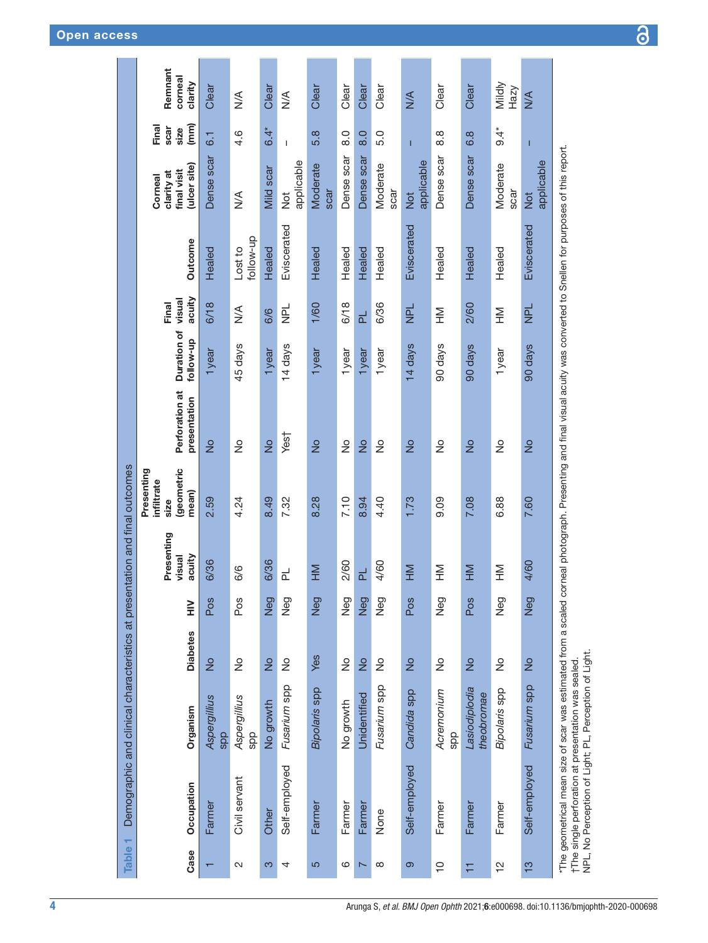<span id="page-3-0"></span>

| Remnant<br>corneal<br>clarity<br>Mildly<br>Clear<br>Clear<br>Clear<br>Clear<br>Clear<br>Clear<br>Clear<br>Clear<br>Hazy<br>$\frac{1}{2}$<br>$\frac{1}{2}$<br>$\leq$<br>$\frac{4}{2}$<br>Final<br>(mm)<br>scar<br>size<br>$6.4^*$<br>$6.4*$<br>4.6<br>$\overline{8}$ .0<br>6.8<br>5.8<br>$\overline{8}$ .0<br>$\frac{8}{6}$<br>5.0<br>$\overline{6}$ .<br>$\overline{1}$<br>T<br>Т<br>Dense scar<br>Dense scar<br>Dense scar<br>Dense scar<br>Dense scar<br>applicable<br>applicable<br>applicable<br>Moderate<br>Moderate<br>Moderate<br>(ulcer site)<br>Mild scar<br>final visit<br>clarity at<br>Corneal<br>scar<br>scar<br>scar<br>$\frac{1}{2}$<br>$\frac{1}{2}$<br>$\frac{1}{2}$<br>$\frac{1}{2}$<br>Eviscerated<br>Eviscerated<br>Eviscerated<br>follow-up<br>Outcome<br>Healed<br>Healed<br>Healed<br>Lost to<br>Healed<br>Healed<br>Healed<br>Healed<br>Healed<br>Healed<br>acuity<br>visual<br>Final<br>6/36<br>6/18<br>1/60<br>6/18<br>2/60<br>$\overline{P}$<br>$\frac{1}{2}$<br><b>NPL</b><br>$\frac{4}{2}$<br>NH<br>H<br>MH<br>H<br>6/6<br>군<br>Duration of<br>dn-wollot<br>45 days<br>14 days<br>90 days<br>14 days<br>90 days<br>90 days<br>1year<br>1year<br>1year<br>1year<br>1year<br>1year<br>1year<br>Perforation at<br>presentation<br>Yes†<br>$\frac{1}{2}$<br>$\frac{1}{2}$<br>$\frac{1}{2}$<br>$\stackrel{\circ}{\simeq}$<br>$\frac{1}{2}$<br>$\frac{1}{2}$<br>$\frac{1}{2}$<br>$\frac{1}{2}$<br>$\frac{1}{2}$<br>$\frac{1}{2}$<br>$\frac{1}{2}$<br>$\frac{1}{2}$<br>geometric<br>infiltrate<br>mean)<br>2.59<br>8.49<br>7.10<br>4.24<br>7.32<br>8.28<br>8.94<br>6.88<br>7.60<br>4.40<br>1.73<br>9.09<br>7.08<br>size<br>Presenting<br>acuity<br>visual<br>6/36<br>6/36<br>2/60<br>4/60<br>4/60<br>$rac{5}{5}$<br>6/6<br>MH<br>MH<br>E<br>MH<br>MH<br>H<br>군<br>군<br>Neg<br>Neg<br>Neg<br>Neg<br>Neg<br>Neg<br>Neg<br>Neg<br>Pos<br>Pos<br>Neg<br>Pos<br>Pos<br>$\geq$<br><b>Diabetes</b><br>Yes<br>$\frac{1}{2}$<br>$\frac{1}{2}$<br>$\frac{1}{2}$<br>$\frac{1}{2}$<br>$\frac{1}{2}$<br>$\frac{1}{2}$<br>$\frac{1}{2}$<br>$\frac{1}{2}$<br>$\frac{1}{2}$<br>ş<br>$\frac{1}{2}$<br>$\frac{1}{2}$<br>Fusarium spp<br>Fusarium spp<br>Fusarium spp<br>Bipolaris spp<br>Lasiodiplodia<br>Bipolaris spp<br>Candida spp<br>Acremonium<br>theobromae<br>Unidentified<br>Aspergillius<br>Aspergillius<br>No growth<br>No growth<br>Organism<br>spp<br>spp<br>spp<br>Self-employed | Demographic and clinical characteristics at presentation and final outcomes |  | Presenting |  |  |  |  |
|----------------------------------------------------------------------------------------------------------------------------------------------------------------------------------------------------------------------------------------------------------------------------------------------------------------------------------------------------------------------------------------------------------------------------------------------------------------------------------------------------------------------------------------------------------------------------------------------------------------------------------------------------------------------------------------------------------------------------------------------------------------------------------------------------------------------------------------------------------------------------------------------------------------------------------------------------------------------------------------------------------------------------------------------------------------------------------------------------------------------------------------------------------------------------------------------------------------------------------------------------------------------------------------------------------------------------------------------------------------------------------------------------------------------------------------------------------------------------------------------------------------------------------------------------------------------------------------------------------------------------------------------------------------------------------------------------------------------------------------------------------------------------------------------------------------------------------------------------------------------------------------------------------------------------------------------------------------------------------------------------------------------------------------------------------------------------------------------------------------------------------------------------------------------------------------------------------------------------------------------------------------------------------------------------------------------------------------------------------------------------------------------------|-----------------------------------------------------------------------------|--|------------|--|--|--|--|
|                                                                                                                                                                                                                                                                                                                                                                                                                                                                                                                                                                                                                                                                                                                                                                                                                                                                                                                                                                                                                                                                                                                                                                                                                                                                                                                                                                                                                                                                                                                                                                                                                                                                                                                                                                                                                                                                                                                                                                                                                                                                                                                                                                                                                                                                                                                                                                                                    |                                                                             |  |            |  |  |  |  |
|                                                                                                                                                                                                                                                                                                                                                                                                                                                                                                                                                                                                                                                                                                                                                                                                                                                                                                                                                                                                                                                                                                                                                                                                                                                                                                                                                                                                                                                                                                                                                                                                                                                                                                                                                                                                                                                                                                                                                                                                                                                                                                                                                                                                                                                                                                                                                                                                    |                                                                             |  |            |  |  |  |  |
|                                                                                                                                                                                                                                                                                                                                                                                                                                                                                                                                                                                                                                                                                                                                                                                                                                                                                                                                                                                                                                                                                                                                                                                                                                                                                                                                                                                                                                                                                                                                                                                                                                                                                                                                                                                                                                                                                                                                                                                                                                                                                                                                                                                                                                                                                                                                                                                                    |                                                                             |  |            |  |  |  |  |
|                                                                                                                                                                                                                                                                                                                                                                                                                                                                                                                                                                                                                                                                                                                                                                                                                                                                                                                                                                                                                                                                                                                                                                                                                                                                                                                                                                                                                                                                                                                                                                                                                                                                                                                                                                                                                                                                                                                                                                                                                                                                                                                                                                                                                                                                                                                                                                                                    |                                                                             |  |            |  |  |  |  |
|                                                                                                                                                                                                                                                                                                                                                                                                                                                                                                                                                                                                                                                                                                                                                                                                                                                                                                                                                                                                                                                                                                                                                                                                                                                                                                                                                                                                                                                                                                                                                                                                                                                                                                                                                                                                                                                                                                                                                                                                                                                                                                                                                                                                                                                                                                                                                                                                    |                                                                             |  |            |  |  |  |  |
|                                                                                                                                                                                                                                                                                                                                                                                                                                                                                                                                                                                                                                                                                                                                                                                                                                                                                                                                                                                                                                                                                                                                                                                                                                                                                                                                                                                                                                                                                                                                                                                                                                                                                                                                                                                                                                                                                                                                                                                                                                                                                                                                                                                                                                                                                                                                                                                                    |                                                                             |  |            |  |  |  |  |
|                                                                                                                                                                                                                                                                                                                                                                                                                                                                                                                                                                                                                                                                                                                                                                                                                                                                                                                                                                                                                                                                                                                                                                                                                                                                                                                                                                                                                                                                                                                                                                                                                                                                                                                                                                                                                                                                                                                                                                                                                                                                                                                                                                                                                                                                                                                                                                                                    |                                                                             |  |            |  |  |  |  |
|                                                                                                                                                                                                                                                                                                                                                                                                                                                                                                                                                                                                                                                                                                                                                                                                                                                                                                                                                                                                                                                                                                                                                                                                                                                                                                                                                                                                                                                                                                                                                                                                                                                                                                                                                                                                                                                                                                                                                                                                                                                                                                                                                                                                                                                                                                                                                                                                    |                                                                             |  |            |  |  |  |  |
|                                                                                                                                                                                                                                                                                                                                                                                                                                                                                                                                                                                                                                                                                                                                                                                                                                                                                                                                                                                                                                                                                                                                                                                                                                                                                                                                                                                                                                                                                                                                                                                                                                                                                                                                                                                                                                                                                                                                                                                                                                                                                                                                                                                                                                                                                                                                                                                                    |                                                                             |  |            |  |  |  |  |
|                                                                                                                                                                                                                                                                                                                                                                                                                                                                                                                                                                                                                                                                                                                                                                                                                                                                                                                                                                                                                                                                                                                                                                                                                                                                                                                                                                                                                                                                                                                                                                                                                                                                                                                                                                                                                                                                                                                                                                                                                                                                                                                                                                                                                                                                                                                                                                                                    | Self-employed                                                               |  |            |  |  |  |  |
|                                                                                                                                                                                                                                                                                                                                                                                                                                                                                                                                                                                                                                                                                                                                                                                                                                                                                                                                                                                                                                                                                                                                                                                                                                                                                                                                                                                                                                                                                                                                                                                                                                                                                                                                                                                                                                                                                                                                                                                                                                                                                                                                                                                                                                                                                                                                                                                                    |                                                                             |  |            |  |  |  |  |
|                                                                                                                                                                                                                                                                                                                                                                                                                                                                                                                                                                                                                                                                                                                                                                                                                                                                                                                                                                                                                                                                                                                                                                                                                                                                                                                                                                                                                                                                                                                                                                                                                                                                                                                                                                                                                                                                                                                                                                                                                                                                                                                                                                                                                                                                                                                                                                                                    |                                                                             |  |            |  |  |  |  |
|                                                                                                                                                                                                                                                                                                                                                                                                                                                                                                                                                                                                                                                                                                                                                                                                                                                                                                                                                                                                                                                                                                                                                                                                                                                                                                                                                                                                                                                                                                                                                                                                                                                                                                                                                                                                                                                                                                                                                                                                                                                                                                                                                                                                                                                                                                                                                                                                    |                                                                             |  |            |  |  |  |  |
|                                                                                                                                                                                                                                                                                                                                                                                                                                                                                                                                                                                                                                                                                                                                                                                                                                                                                                                                                                                                                                                                                                                                                                                                                                                                                                                                                                                                                                                                                                                                                                                                                                                                                                                                                                                                                                                                                                                                                                                                                                                                                                                                                                                                                                                                                                                                                                                                    | Self-employed                                                               |  |            |  |  |  |  |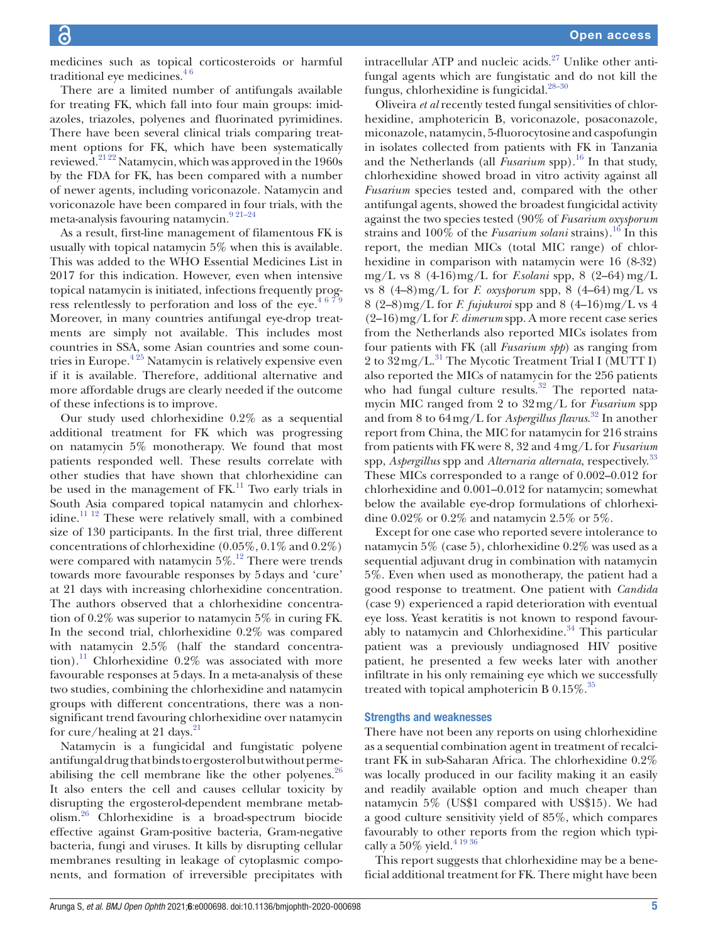medicines such as topical corticosteroids or harmful traditional eye medicines. $46$ 

There are a limited number of antifungals available for treating FK, which fall into four main groups: imidazoles, triazoles, polyenes and fluorinated pyrimidines. There have been several clinical trials comparing treatment options for FK, which have been systematically reviewed.[21 22](#page-6-5) Natamycin, which was approved in the 1960s by the FDA for FK, has been compared with a number of newer agents, including voriconazole. Natamycin and voriconazole have been compared in four trials, with the meta-analysis favouring natamycin.[9 21–24](#page-5-8)

As a result, first-line management of filamentous FK is usually with topical natamycin 5% when this is available. This was added to the WHO Essential Medicines List in 2017 for this indication. However, even when intensive topical natamycin is initiated, infections frequently progress relentlessly to perforation and loss of the eye.<sup>4679</sup> Moreover, in many countries antifungal eye-drop treatments are simply not available. This includes most countries in SSA, some Asian countries and some countries in Europe. $425$  Natamycin is relatively expensive even if it is available. Therefore, additional alternative and more affordable drugs are clearly needed if the outcome of these infections is to improve.

Our study used chlorhexidine 0.2% as a sequential additional treatment for FK which was progressing on natamycin 5% monotherapy. We found that most patients responded well. These results correlate with other studies that have shown that chlorhexidine can be used in the management of  $FK<sup>11</sup>$  Two early trials in South Asia compared topical natamycin and chlorhexidine.<sup>11 12</sup> These were relatively small, with a combined size of 130 participants. In the first trial, three different concentrations of chlorhexidine (0.05%, 0.1% and 0.2%) were compared with natamycin  $5\%$ .<sup>[12](#page-5-9)</sup> There were trends towards more favourable responses by 5days and 'cure' at 21 days with increasing chlorhexidine concentration. The authors observed that a chlorhexidine concentration of 0.2% was superior to natamycin 5% in curing FK. In the second trial, chlorhexidine 0.2% was compared with natamycin 2.5% (half the standard concentra-tion).<sup>[11](#page-5-7)</sup> Chlorhexidine  $0.2\%$  was associated with more favourable responses at 5days. In a meta-analysis of these two studies, combining the chlorhexidine and natamycin groups with different concentrations, there was a nonsignificant trend favouring chlorhexidine over natamycin for cure/healing at 21 days. $^{21}$ 

Natamycin is a fungicidal and fungistatic polyene antifungal drug that binds to ergosterol but without permeabilising the cell membrane like the other polyenes. $26$ It also enters the cell and causes cellular toxicity by disrupting the ergosterol-dependent membrane metabolism.[26](#page-6-6) Chlorhexidine is a broad-spectrum biocide effective against Gram-positive bacteria, Gram-negative bacteria, fungi and viruses. It kills by disrupting cellular membranes resulting in leakage of cytoplasmic components, and formation of irreversible precipitates with

intracellular ATP and nucleic acids. $27$  Unlike other antifungal agents which are fungistatic and do not kill the fungus, chlorhexidine is fungicidal.<sup>28-30</sup>

Oliveira *et al* recently tested fungal sensitivities of chlorhexidine, amphotericin B, voriconazole, posaconazole, miconazole, natamycin, 5-fluorocytosine and caspofungin in isolates collected from patients with FK in Tanzania and the Netherlands (all  $\hat{F}$ *usarium* spp).<sup>16</sup> In that study, chlorhexidine showed broad in vitro activity against all *Fusarium* species tested and, compared with the other antifungal agents, showed the broadest fungicidal activity against the two species tested (90% of *Fusarium oxysporum* strains and 100% of the *Fusarium solani* strains).<sup>[16](#page-6-0)</sup> In this report, the median MICs (total MIC range) of chlorhexidine in comparison with natamycin were 16 (8-32) mg/L vs 8 (4-16)mg/L for *F.solani* spp, 8 (2–64)mg/L vs  $8$   $(4-8)$ mg/L for *F. oxysporum* spp,  $8$   $(4-64)$  mg/L vs 8 (2–8)mg/L for *F. fujukuroi* spp and 8 (4–16)mg/L vs 4 (2–16)mg/L for *F. dimerum* spp. A more recent case series from the Netherlands also reported MICs isolates from four patients with FK (all *Fusarium spp*) as ranging from 2 to  $32 \text{ mg/L}$ .<sup>31</sup> The Mycotic Treatment Trial I (MUTT I) also reported the MICs of natamycin for the 256 patients who had fungal culture results.<sup>32</sup> The reported natamycin MIC ranged from 2 to 32mg/L for *Fusarium* spp and from 8 to 64mg/L for *Aspergillus flavus*. [32](#page-6-10) In another report from China, the MIC for natamycin for 216 strains from patients with FK were 8, 32 and 4mg/L for *Fusarium* spp, *Aspergillus* spp and *Alternaria alternata*, respectively[.33](#page-6-11) These MICs corresponded to a range of 0.002–0.012 for chlorhexidine and 0.001–0.012 for natamycin; somewhat below the available eye-drop formulations of chlorhexidine 0.02% or 0.2% and natamycin 2.5% or 5%.

Except for one case who reported severe intolerance to natamycin 5% (case 5), chlorhexidine 0.2% was used as a sequential adjuvant drug in combination with natamycin 5%. Even when used as monotherapy, the patient had a good response to treatment. One patient with *Candida* (case 9) experienced a rapid deterioration with eventual eye loss. Yeast keratitis is not known to respond favourably to natamycin and Chlorhexidine. $34$  This particular patient was a previously undiagnosed HIV positive patient, he presented a few weeks later with another infiltrate in his only remaining eye which we successfully treated with topical amphotericin B  $0.15\%$ .<sup>35</sup>

#### Strengths and weaknesses

There have not been any reports on using chlorhexidine as a sequential combination agent in treatment of recalcitrant FK in sub-Saharan Africa. The chlorhexidine 0.2% was locally produced in our facility making it an easily and readily available option and much cheaper than natamycin 5% (US\$1 compared with US\$15). We had a good culture sensitivity yield of 85%, which compares favourably to other reports from the region which typically a  $50\%$  yield.  $^{4\,19\,36}$ 

This report suggests that chlorhexidine may be a beneficial additional treatment for FK. There might have been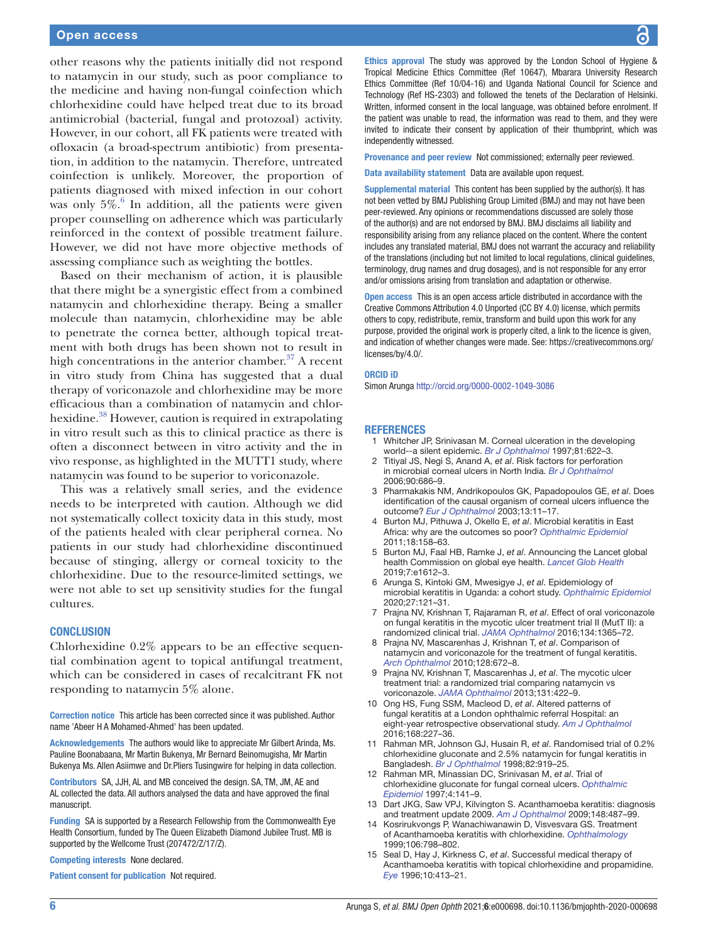#### Open access

other reasons why the patients initially did not respond to natamycin in our study, such as poor compliance to the medicine and having non-fungal coinfection which chlorhexidine could have helped treat due to its broad antimicrobial (bacterial, fungal and protozoal) activity. However, in our cohort, all FK patients were treated with ofloxacin (a broad-spectrum antibiotic) from presentation, in addition to the natamycin. Therefore, untreated coinfection is unlikely. Moreover, the proportion of patients diagnosed with mixed infection in our cohort was only  $5\%$ .<sup>[6](#page-5-3)</sup> In addition, all the patients were given proper counselling on adherence which was particularly reinforced in the context of possible treatment failure. However, we did not have more objective methods of assessing compliance such as weighting the bottles.

Based on their mechanism of action, it is plausible that there might be a synergistic effect from a combined natamycin and chlorhexidine therapy. Being a smaller molecule than natamycin, chlorhexidine may be able to penetrate the cornea better, although topical treatment with both drugs has been shown not to result in high concentrations in the anterior chamber. $37$  A recent in vitro study from China has suggested that a dual therapy of voriconazole and chlorhexidine may be more efficacious than a combination of natamycin and chlorhexidine.<sup>38</sup> However, caution is required in extrapolating in vitro result such as this to clinical practice as there is often a disconnect between in vitro activity and the in vivo response, as highlighted in the MUTT1 study, where natamycin was found to be superior to voriconazole.

This was a relatively small series, and the evidence needs to be interpreted with caution. Although we did not systematically collect toxicity data in this study, most of the patients healed with clear peripheral cornea. No patients in our study had chlorhexidine discontinued because of stinging, allergy or corneal toxicity to the chlorhexidine. Due to the resource-limited settings, we were not able to set up sensitivity studies for the fungal cultures.

#### **CONCLUSION**

Chlorhexidine 0.2% appears to be an effective sequential combination agent to topical antifungal treatment, which can be considered in cases of recalcitrant FK not responding to natamycin 5% alone.

Correction notice This article has been corrected since it was published. Author name 'Abeer H A Mohamed-Ahmed' has been updated.

Acknowledgements The authors would like to appreciate Mr Gilbert Arinda, Ms. Pauline Boonabaana, Mr Martin Bukenya, Mr Bernard Beinomugisha, Mr Martin Bukenya Ms. Allen Asiimwe and Dr.Pliers Tusingwire for helping in data collection.

Contributors SA, JJH, AL and MB conceived the design. SA, TM, JM, AE and AL collected the data. All authors analysed the data and have approved the final manuscript.

Funding SA is supported by a Research Fellowship from the Commonwealth Eye Health Consortium, funded by The Queen Elizabeth Diamond Jubilee Trust. MB is supported by the Wellcome Trust (207472/Z/17/Z).

Competing interests None declared.

Patient consent for publication Not required.

Ethics approval The study was approved by the London School of Hygiene & Tropical Medicine Ethics Committee (Ref 10647), Mbarara University Research Ethics Committee (Ref 10/04-16) and Uganda National Council for Science and Technology (Ref HS-2303) and followed the tenets of the Declaration of Helsinki. Written, informed consent in the local language, was obtained before enrolment. If the patient was unable to read, the information was read to them, and they were invited to indicate their consent by application of their thumbprint, which was independently witnessed.

Provenance and peer review Not commissioned; externally peer reviewed.

Data availability statement Data are available upon request.

Supplemental material This content has been supplied by the author(s). It has not been vetted by BMJ Publishing Group Limited (BMJ) and may not have been peer-reviewed. Any opinions or recommendations discussed are solely those of the author(s) and are not endorsed by BMJ. BMJ disclaims all liability and responsibility arising from any reliance placed on the content. Where the content includes any translated material, BMJ does not warrant the accuracy and reliability of the translations (including but not limited to local regulations, clinical guidelines, terminology, drug names and drug dosages), and is not responsible for any error and/or omissions arising from translation and adaptation or otherwise.

Open access This is an open access article distributed in accordance with the Creative Commons Attribution 4.0 Unported (CC BY 4.0) license, which permits others to copy, redistribute, remix, transform and build upon this work for any purpose, provided the original work is properly cited, a link to the licence is given, and indication of whether changes were made. See: [https://creativecommons.org/](https://creativecommons.org/licenses/by/4.0/) [licenses/by/4.0/](https://creativecommons.org/licenses/by/4.0/).

#### ORCID iD

Simon Arunga<http://orcid.org/0000-0002-1049-3086>

#### REFERENCES

- 1 Whitcher JP, Srinivasan M. Corneal ulceration in the developing world--a silent epidemic. *[Br J Ophthalmol](http://dx.doi.org/10.1136/bjo.81.8.622)* 1997;81:622–3.
- <span id="page-5-0"></span>2 Titiyal JS, Negi S, Anand A, *et al*. Risk factors for perforation in microbial corneal ulcers in North India. *[Br J Ophthalmol](http://dx.doi.org/10.1136/bjo.2005.079533)* 2006;90:686–9.
- 3 Pharmakakis NM, Andrikopoulos GK, Papadopoulos GE, *et al*. Does identification of the causal organism of corneal ulcers influence the outcome? *[Eur J Ophthalmol](http://dx.doi.org/10.1177/112067210301300102)* 2003;13:11–17.
- <span id="page-5-1"></span>4 Burton MJ, Pithuwa J, Okello E, *et al*. Microbial keratitis in East Africa: why are the outcomes so poor? *[Ophthalmic Epidemiol](http://dx.doi.org/10.3109/09286586.2011.595041)* 2011;18:158–63.
- <span id="page-5-2"></span>5 Burton MJ, Faal HB, Ramke J, *et al*. Announcing the Lancet global health Commission on global eye health. *[Lancet Glob Health](http://dx.doi.org/10.1016/S2214-109X(19)30450-4)* 2019;7:e1612–3.
- <span id="page-5-3"></span>6 Arunga S, Kintoki GM, Mwesigye J, *et al*. Epidemiology of microbial keratitis in Uganda: a cohort study. *[Ophthalmic Epidemiol](http://dx.doi.org/10.1080/09286586.2019.1700533)* 2020;27:121–31.
- <span id="page-5-4"></span>7 Prajna NV, Krishnan T, Rajaraman R, *et al*. Effect of oral voriconazole on fungal keratitis in the mycotic ulcer treatment trial II (MutT II): a randomized clinical trial. *[JAMA Ophthalmol](http://dx.doi.org/10.1001/jamaophthalmol.2016.4096)* 2016;134:1365–72.
- <span id="page-5-5"></span>8 Prajna NV, Mascarenhas J, Krishnan T, *et al*. Comparison of natamycin and voriconazole for the treatment of fungal keratitis. *[Arch Ophthalmol](http://dx.doi.org/10.1001/archophthalmol.2010.102)* 2010;128:672–8.
- <span id="page-5-8"></span>9 Prajna NV, Krishnan T, Mascarenhas J, *et al*. The mycotic ulcer treatment trial: a randomized trial comparing natamycin vs voriconazole. *[JAMA Ophthalmol](http://dx.doi.org/10.1001/jamaophthalmol.2013.1497)* 2013;131:422–9.
- <span id="page-5-6"></span>10 Ong HS, Fung SSM, Macleod D, *et al*. Altered patterns of fungal keratitis at a London ophthalmic referral Hospital: an eight-year retrospective observational study. *[Am J Ophthalmol](http://dx.doi.org/10.1016/j.ajo.2016.05.021)* 2016;168:227–36.
- <span id="page-5-7"></span>11 Rahman MR, Johnson GJ, Husain R, *et al*. Randomised trial of 0.2% chlorhexidine gluconate and 2.5% natamycin for fungal keratitis in Bangladesh. *[Br J Ophthalmol](http://dx.doi.org/10.1136/bjo.82.8.919)* 1998;82:919–25.
- <span id="page-5-9"></span>12 Rahman MR, Minassian DC, Srinivasan M, *et al*. Trial of chlorhexidine gluconate for fungal corneal ulcers. *[Ophthalmic](http://dx.doi.org/10.3109/09286589709115721)  [Epidemiol](http://dx.doi.org/10.3109/09286589709115721)* 1997;4:141–9.
- 13 Dart JKG, Saw VPJ, Kilvington S. Acanthamoeba keratitis: diagnosis and treatment update 2009. *[Am J Ophthalmol](http://dx.doi.org/10.1016/j.ajo.2009.06.009)* 2009;148:487–99.
- 14 Kosrirukvongs P, Wanachiwanawin D, Visvesvara GS. Treatment of Acanthamoeba keratitis with chlorhexidine. *[Ophthalmology](http://dx.doi.org/10.1016/S0161-6420(99)90169-0)* 1999;106:798–802.
- 15 Seal D, Hay J, Kirkness C, *et al*. Successful medical therapy of Acanthamoeba keratitis with topical chlorhexidine and propamidine. *[Eye](http://dx.doi.org/10.1038/eye.1996.92)* 1996;10:413–21.